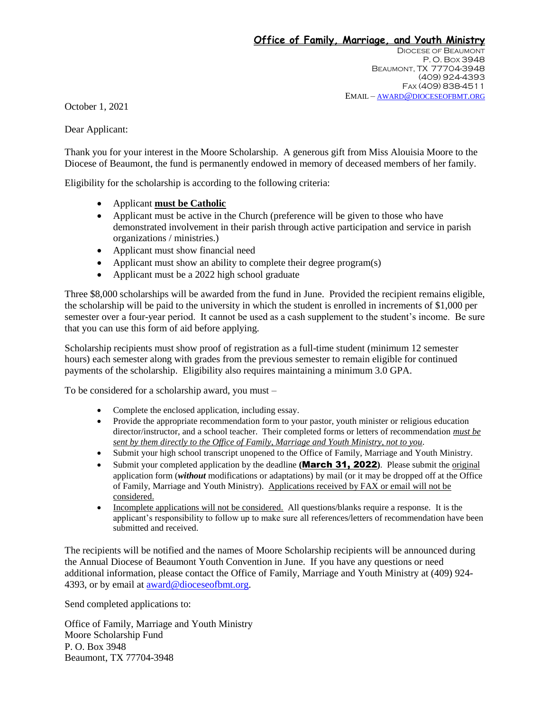DIOCESE OF BEAUMONT P. O. BOX 3948 BEAUMONT, TX 77704-3948 (409) 924-4393 FAX (409) 838-4511 EMAIL – AWARD@[DIOCESEOFBMT](mailto:award@dioceseofbmt.org).ORG

October 1, 2021

Dear Applicant:

Thank you for your interest in the Moore Scholarship. A generous gift from Miss Alouisia Moore to the Diocese of Beaumont, the fund is permanently endowed in memory of deceased members of her family.

Eligibility for the scholarship is according to the following criteria:

- Applicant **must be Catholic**
- Applicant must be active in the Church (preference will be given to those who have demonstrated involvement in their parish through active participation and service in parish organizations / ministries.)
- Applicant must show financial need
- Applicant must show an ability to complete their degree program(s)
- Applicant must be a 2022 high school graduate

Three \$8,000 scholarships will be awarded from the fund in June. Provided the recipient remains eligible, the scholarship will be paid to the university in which the student is enrolled in increments of \$1,000 per semester over a four-year period. It cannot be used as a cash supplement to the student's income. Be sure that you can use this form of aid before applying.

Scholarship recipients must show proof of registration as a full-time student (minimum 12 semester hours) each semester along with grades from the previous semester to remain eligible for continued payments of the scholarship. Eligibility also requires maintaining a minimum 3.0 GPA.

To be considered for a scholarship award, you must –

- Complete the enclosed application, including essay.
- Provide the appropriate recommendation form to your pastor, youth minister or religious education director/instructor, and a school teacher. Their completed forms or letters of recommendation *must be sent by them directly to the Office of Family, Marriage and Youth Ministry, not to you*.
- Submit your high school transcript unopened to the Office of Family, Marriage and Youth Ministry.
- Submit your completed application by the deadline **(**March 31, 2022**)**. Please submit the original application form (*without* modifications or adaptations) by mail (or it may be dropped off at the Office of Family, Marriage and Youth Ministry). Applications received by FAX or email will not be considered.
- Incomplete applications will not be considered. All questions/blanks require a response. It is the applicant's responsibility to follow up to make sure all references/letters of recommendation have been submitted and received.

The recipients will be notified and the names of Moore Scholarship recipients will be announced during the Annual Diocese of Beaumont Youth Convention in June. If you have any questions or need additional information, please contact the Office of Family, Marriage and Youth Ministry at (409) 924- 4393, or by email at [award@dioceseofbmt.org.](mailto:award@dioceseofbmt.org)

Send completed applications to:

Office of Family, Marriage and Youth Ministry Moore Scholarship Fund P. O. Box 3948 Beaumont, TX 77704-3948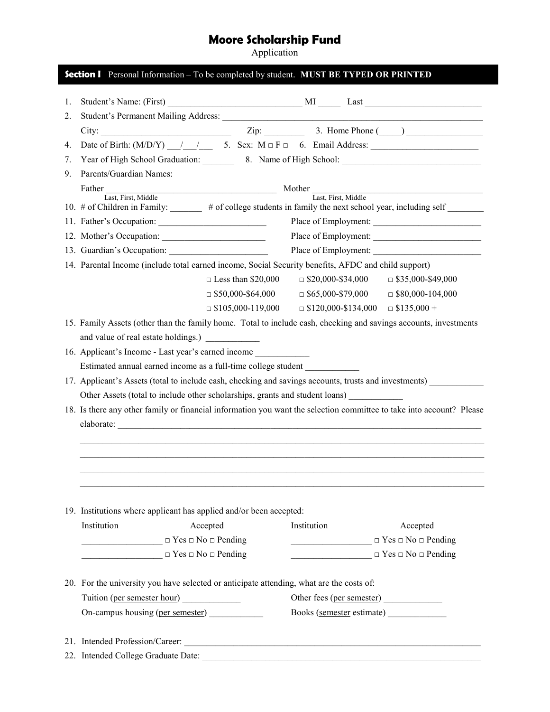Application

 $\overline{\phantom{a}}$ 

|    | <b>Section I</b> Personal Information - To be completed by student. MUST BE TYPED OR PRINTED                                                                                                                                   |                                                  |
|----|--------------------------------------------------------------------------------------------------------------------------------------------------------------------------------------------------------------------------------|--------------------------------------------------|
|    |                                                                                                                                                                                                                                |                                                  |
| 1. |                                                                                                                                                                                                                                |                                                  |
| 2. |                                                                                                                                                                                                                                |                                                  |
|    |                                                                                                                                                                                                                                |                                                  |
| 4. | Date of Birth: $(M/D/Y)$ $\_\_/$ $\_\_/$ 5. Sex: $M \Box F \Box$ 6. Email Address:                                                                                                                                             |                                                  |
| 7. |                                                                                                                                                                                                                                |                                                  |
| 9. | Parents/Guardian Names:                                                                                                                                                                                                        |                                                  |
|    | Father<br>Mother Last, First, Middle                                                                                                                                                                                           | Last, First, Middle                              |
|    | 10. # of Children in Family: $\qquad$ # of college students in family the next school year, including self                                                                                                                     |                                                  |
|    | 11. Father's Occupation:                                                                                                                                                                                                       | Place of Employment:                             |
|    |                                                                                                                                                                                                                                |                                                  |
|    | 13. Guardian's Occupation:                                                                                                                                                                                                     | Place of Employment:                             |
|    | 14. Parental Income (include total earned income, Social Security benefits, AFDC and child support)                                                                                                                            |                                                  |
|    | $\Box$ Less than \$20,000<br>$\Box$ \$20,000-\$34,000                                                                                                                                                                          | $\Box$ \$35,000-\$49,000                         |
|    | $\Box$ \$50,000-\$64,000                                                                                                                                                                                                       | $\Box$ \$65,000-\$79,000 $\Box$ \$80,000-104,000 |
|    | $\Box$ \$105,000-119,000                                                                                                                                                                                                       | $\Box$ \$120,000-\$134,000 $\Box$ \$135,000 +    |
|    | 15. Family Assets (other than the family home. Total to include cash, checking and savings accounts, investments                                                                                                               |                                                  |
|    |                                                                                                                                                                                                                                |                                                  |
|    | 16. Applicant's Income - Last year's earned income                                                                                                                                                                             |                                                  |
|    | Estimated annual earned income as a full-time college student ____________                                                                                                                                                     |                                                  |
|    | 17. Applicant's Assets (total to include cash, checking and savings accounts, trusts and investments) ________                                                                                                                 |                                                  |
|    | Other Assets (total to include other scholarships, grants and student loans)                                                                                                                                                   |                                                  |
|    | 18. Is there any other family or financial information you want the selection committee to take into account? Please                                                                                                           |                                                  |
|    | elaborate: and the contract of the contract of the contract of the contract of the contract of the contract of the contract of the contract of the contract of the contract of the contract of the contract of the contract of |                                                  |
|    |                                                                                                                                                                                                                                |                                                  |
|    |                                                                                                                                                                                                                                |                                                  |
|    |                                                                                                                                                                                                                                |                                                  |
|    |                                                                                                                                                                                                                                |                                                  |
|    |                                                                                                                                                                                                                                |                                                  |
|    | 19. Institutions where applicant has applied and/or been accepted:                                                                                                                                                             |                                                  |
|    | Institution<br>Accepted<br>Institution                                                                                                                                                                                         | Accepted                                         |
|    |                                                                                                                                                                                                                                | $\Box$ Yes $\Box$ No $\Box$ Pending              |
|    | $\Box$ Yes $\Box$ No $\Box$ Pending                                                                                                                                                                                            | $\Box$ Yes $\Box$ No $\Box$ Pending              |
|    |                                                                                                                                                                                                                                |                                                  |
|    | 20. For the university you have selected or anticipate attending, what are the costs of:                                                                                                                                       |                                                  |
|    |                                                                                                                                                                                                                                |                                                  |
|    | Tuition (per semester hour)                                                                                                                                                                                                    | Other fees (per semester)                        |
|    | On-campus housing (per semester)                                                                                                                                                                                               |                                                  |
|    |                                                                                                                                                                                                                                |                                                  |
|    |                                                                                                                                                                                                                                |                                                  |
|    |                                                                                                                                                                                                                                |                                                  |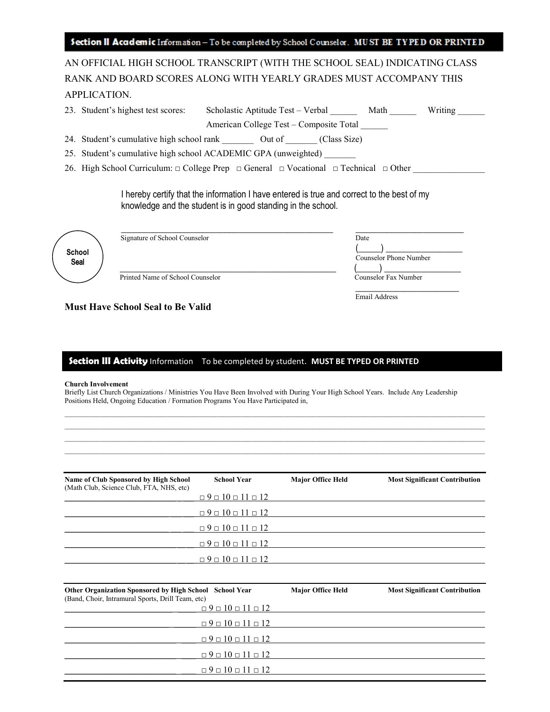#### Section II Academic Information - To be completed by School Counselor. MUST BE TYPED OR PRINTED

AN OFFICIAL HIGH SCHOOL TRANSCRIPT (WITH THE SCHOOL SEAL) INDICATING CLASS RANK AND BOARD SCORES ALONG WITH YEARLY GRADES MUST ACCOMPANY THIS APPLICATION.

|                | 23. Student's highest test scores: | Scholastic Aptitude Test – Verbal                                                                                                                          | Math                           | Writing |
|----------------|------------------------------------|------------------------------------------------------------------------------------------------------------------------------------------------------------|--------------------------------|---------|
|                |                                    | American College Test – Composite Total                                                                                                                    |                                |         |
|                |                                    | 24. Student's cumulative high school rank Out of (Class Size)                                                                                              |                                |         |
|                |                                    | 25. Student's cumulative high school ACADEMIC GPA (unweighted)                                                                                             |                                |         |
|                |                                    | 26. High School Curriculum: $\Box$ College Prep $\Box$ General $\Box$ Vocational $\Box$ Technical $\Box$ Other                                             |                                |         |
|                |                                    | I hereby certify that the information I have entered is true and correct to the best of my<br>knowledge and the student is in good standing in the school. |                                |         |
| School<br>Seal | Signature of School Counselor      |                                                                                                                                                            | Date<br>Counselor Phone Number |         |
|                | Printed Name of School Counselor   |                                                                                                                                                            | <b>Counselor Fax Number</b>    |         |
|                |                                    |                                                                                                                                                            | Email Address                  |         |

#### **Must Have School Seal to Be Valid**

#### **Section III Activity** Information – To be completed by student. **MUST BE TYPED OR PRINTED**

#### **Church Involvement**

Briefly List Church Organizations / Ministries You Have Been Involved with During Your High School Years. Include Any Leadership Positions Held, Ongoing Education / Formation Programs You Have Participated in,

 $\mathcal{L}_\mathcal{L} = \mathcal{L}_\mathcal{L} = \mathcal{L}_\mathcal{L} = \mathcal{L}_\mathcal{L} = \mathcal{L}_\mathcal{L} = \mathcal{L}_\mathcal{L} = \mathcal{L}_\mathcal{L} = \mathcal{L}_\mathcal{L} = \mathcal{L}_\mathcal{L} = \mathcal{L}_\mathcal{L} = \mathcal{L}_\mathcal{L} = \mathcal{L}_\mathcal{L} = \mathcal{L}_\mathcal{L} = \mathcal{L}_\mathcal{L} = \mathcal{L}_\mathcal{L} = \mathcal{L}_\mathcal{L} = \mathcal{L}_\mathcal{L}$ 

\_\_\_\_\_\_\_\_\_\_\_\_\_\_\_\_\_\_\_\_\_\_\_\_\_\_\_\_\_\_\_\_\_\_\_\_\_\_\_\_\_\_\_\_\_\_\_\_\_\_\_\_\_\_\_\_\_\_\_\_\_\_\_\_\_\_\_\_\_\_\_\_\_\_\_\_\_\_\_\_\_\_\_\_\_\_\_\_\_\_\_\_\_\_\_\_\_\_\_\_\_\_\_\_\_\_\_\_\_\_\_\_\_\_\_\_\_

| Name of Club Sponsored by High School<br>(Math Club, Science Club, FTA, NHS, etc) | <b>School Year</b>                     | <b>Major Office Held</b> | <b>Most Significant Contribution</b> |
|-----------------------------------------------------------------------------------|----------------------------------------|--------------------------|--------------------------------------|
|                                                                                   | $\Box$ 9 $\Box$ 10 $\Box$ 11 $\Box$ 12 |                          |                                      |
|                                                                                   | $\Box$ 9 $\Box$ 10 $\Box$ 11 $\Box$ 12 |                          |                                      |
|                                                                                   | $\Box 9 \Box 10 \Box 11 \Box 12$       |                          |                                      |
|                                                                                   | $\Box 9 \Box 10 \Box 11 \Box 12$       |                          |                                      |
|                                                                                   | $\Box 9 \Box 10 \Box 11 \Box 12$       |                          |                                      |
|                                                                                   |                                        |                          |                                      |

| <b>Major Office Held</b> | <b>Most Significant Contribution</b> |
|--------------------------|--------------------------------------|
|                          |                                      |
|                          |                                      |
|                          |                                      |
|                          |                                      |
|                          |                                      |
|                          |                                      |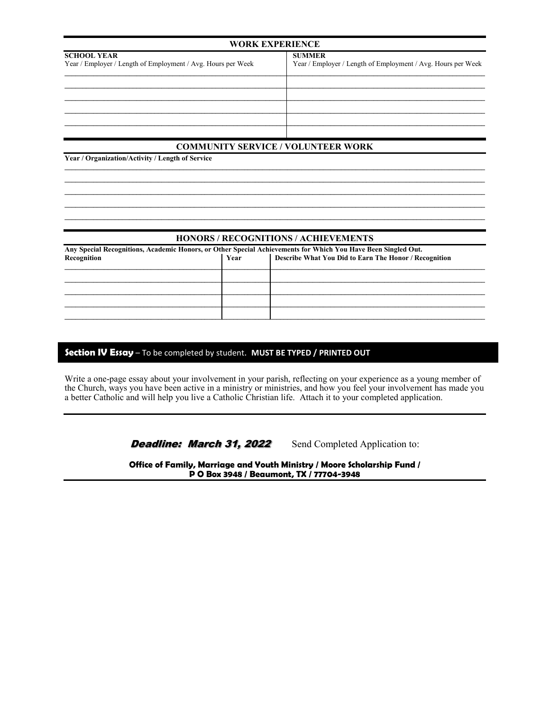| <b>WORK EXPERIENCE</b>                                                             |                                                                               |  |
|------------------------------------------------------------------------------------|-------------------------------------------------------------------------------|--|
| <b>SCHOOL YEAR</b><br>Year / Employer / Length of Employment / Avg. Hours per Week | <b>SUMMER</b><br>Year / Employer / Length of Employment / Avg. Hours per Week |  |
|                                                                                    |                                                                               |  |
|                                                                                    |                                                                               |  |
| <b>COMMUNITY SERVICE / VOLUNTEER WORK</b>                                          |                                                                               |  |

**Year / Organization/Activity / Length of Service \_\_\_\_\_\_\_\_\_\_\_\_\_\_\_\_\_\_\_\_\_\_\_\_\_\_\_\_\_\_\_\_\_\_\_\_\_\_\_\_\_\_\_\_\_\_\_\_\_\_\_\_\_\_\_\_\_\_\_\_\_\_\_\_\_\_\_\_\_\_\_\_\_\_\_\_\_\_\_\_\_\_\_\_\_\_\_\_\_\_\_\_\_\_\_\_\_\_\_\_\_\_\_\_\_\_\_\_\_\_\_\_\_\_\_\_\_**

#### **HONORS / RECOGNITIONS / ACHIEVEMENTS**

**\_\_\_\_\_\_\_\_\_\_\_\_\_\_\_\_\_\_\_\_\_\_\_\_\_\_\_\_\_\_\_\_\_\_\_\_\_\_\_\_\_\_\_\_\_\_\_\_\_\_\_\_\_\_\_\_\_\_\_\_\_\_\_\_\_\_\_\_\_\_\_\_\_\_\_\_\_\_\_\_\_\_\_\_\_\_\_\_\_\_\_\_\_\_\_\_\_\_\_\_\_\_\_\_\_\_\_\_\_\_\_\_\_\_\_\_\_ \_\_\_\_\_\_\_\_\_\_\_\_\_\_\_\_\_\_\_\_\_\_\_\_\_\_\_\_\_\_\_\_\_\_\_\_\_\_\_\_\_\_\_\_\_\_\_\_\_\_\_\_\_\_\_\_\_\_\_\_\_\_\_\_\_\_\_\_\_\_\_\_\_\_\_\_\_\_\_\_\_\_\_\_\_\_\_\_\_\_\_\_\_\_\_\_\_\_\_\_\_\_\_\_\_\_\_\_\_\_\_\_\_\_\_\_\_ \_\_\_\_\_\_\_\_\_\_\_\_\_\_\_\_\_\_\_\_\_\_\_\_\_\_\_\_\_\_\_\_\_\_\_\_\_\_\_\_\_\_\_\_\_\_\_\_\_\_\_\_\_\_\_\_\_\_\_\_\_\_\_\_\_\_\_\_\_\_\_\_\_\_\_\_\_\_\_\_\_\_\_\_\_\_\_\_\_\_\_\_\_\_\_\_\_\_\_\_\_\_\_\_\_\_\_\_\_\_\_\_\_\_\_\_\_ \_\_\_\_\_\_\_\_\_\_\_\_\_\_\_\_\_\_\_\_\_\_\_\_\_\_\_\_\_\_\_\_\_\_\_\_\_\_\_\_\_\_\_\_\_\_\_\_\_\_\_\_\_\_\_\_\_\_\_\_\_\_\_\_\_\_\_\_\_\_\_\_\_\_\_\_\_\_\_\_\_\_\_\_\_\_\_\_\_\_\_\_\_\_\_\_\_\_\_\_\_\_\_\_\_\_\_\_\_\_\_\_\_\_\_\_\_**

| Any Special Recognitions, Academic Honors, or Other Special Achievements for Which You Have Been Singled Out. |      |                                                       |  |  |  |
|---------------------------------------------------------------------------------------------------------------|------|-------------------------------------------------------|--|--|--|
| Recognition                                                                                                   | Year | Describe What You Did to Earn The Honor / Recognition |  |  |  |
|                                                                                                               |      |                                                       |  |  |  |
|                                                                                                               |      |                                                       |  |  |  |
|                                                                                                               |      |                                                       |  |  |  |
|                                                                                                               |      |                                                       |  |  |  |
|                                                                                                               |      |                                                       |  |  |  |

#### **Section IV Essay** – To be completed by student. **MUST BE TYPED / PRINTED OUT**

Write a one-page essay about your involvement in your parish, reflecting on your experience as a young member of the Church, ways you have been active in a ministry or ministries, and how you feel your involvement has made you a better Catholic and will help you live a Catholic Christian life. Attach it to your completed application.

**Deadline: March 31, 2022** Send Completed Application to:

**Office of Family, Marriage and Youth Ministry / Moore Scholarship Fund / P O Box 3948 / Beaumont, TX / 77704-3948**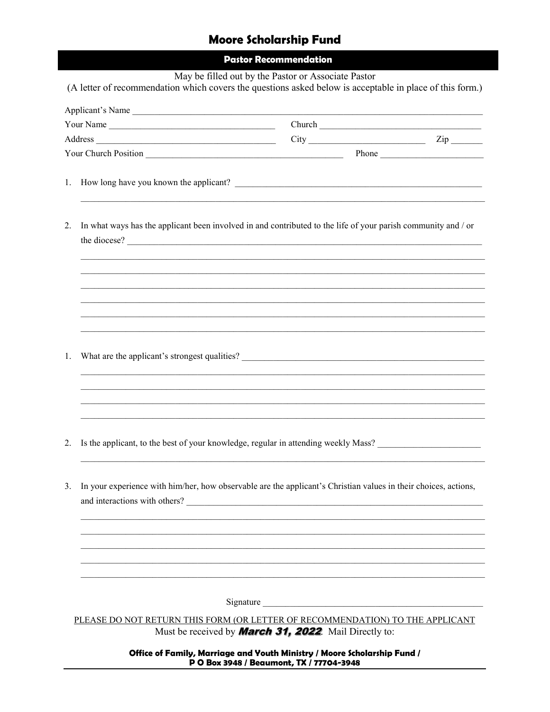|    |                                                                                                                               | Applicant's Name |              |  |
|----|-------------------------------------------------------------------------------------------------------------------------------|------------------|--------------|--|
|    | Your Name                                                                                                                     |                  |              |  |
|    |                                                                                                                               |                  | $City$ $Zip$ |  |
|    |                                                                                                                               |                  |              |  |
| 1. |                                                                                                                               |                  |              |  |
|    | In what ways has the applicant been involved in and contributed to the life of your parish community and / or<br>the diocese? |                  |              |  |
|    |                                                                                                                               |                  |              |  |
|    |                                                                                                                               |                  |              |  |
|    |                                                                                                                               |                  |              |  |
|    |                                                                                                                               |                  |              |  |
|    |                                                                                                                               |                  |              |  |
|    |                                                                                                                               |                  |              |  |
|    |                                                                                                                               |                  |              |  |
|    |                                                                                                                               |                  |              |  |
|    |                                                                                                                               |                  |              |  |
|    | Is the applicant, to the best of your knowledge, regular in attending weekly Mass?                                            |                  |              |  |
|    | In your experience with him/her, how observable are the applicant's Christian values in their choices, actions,               |                  |              |  |
|    |                                                                                                                               |                  |              |  |
|    |                                                                                                                               |                  |              |  |
|    |                                                                                                                               |                  |              |  |
|    |                                                                                                                               |                  |              |  |

Office of Family, Marriage and Youth Ministry / Moore Scholarship Fund /<br>P O Box 3948 / Beaumont, TX / 77704-3948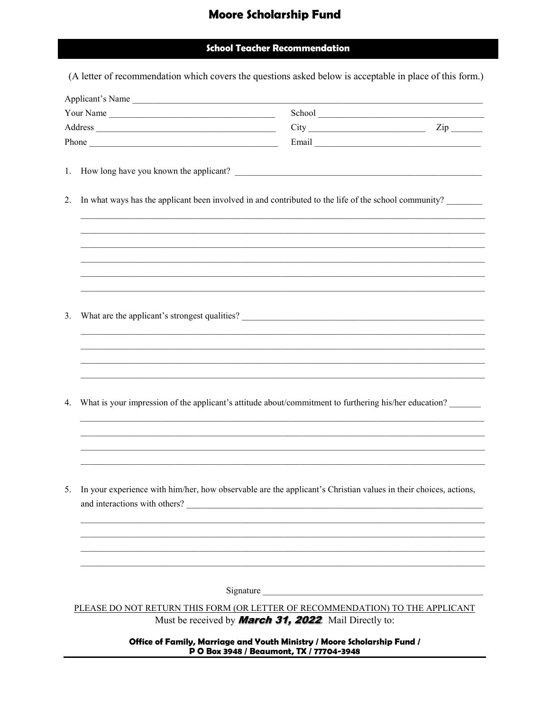### **School Teacher Recommendation**

(A letter of recommendation which covers the questions asked below is acceptable in place of this form.)

|    | Applicant's Name                                                                                                                                 |                                                               |              |  |  |  |
|----|--------------------------------------------------------------------------------------------------------------------------------------------------|---------------------------------------------------------------|--------------|--|--|--|
|    | Your Name                                                                                                                                        |                                                               | School       |  |  |  |
|    |                                                                                                                                                  |                                                               | $City$ $Zip$ |  |  |  |
|    |                                                                                                                                                  |                                                               |              |  |  |  |
| 1. |                                                                                                                                                  |                                                               |              |  |  |  |
| 2. | In what ways has the applicant been involved in and contributed to the life of the school community?                                             |                                                               |              |  |  |  |
|    |                                                                                                                                                  |                                                               |              |  |  |  |
| 3. |                                                                                                                                                  |                                                               |              |  |  |  |
|    |                                                                                                                                                  |                                                               |              |  |  |  |
| 4. | What is your impression of the applicant's attitude about/commitment to furthering his/her education?                                            |                                                               |              |  |  |  |
| 5. | In your experience with him/her, how observable are the applicant's Christian values in their choices, actions,<br>and interactions with others? |                                                               |              |  |  |  |
|    |                                                                                                                                                  |                                                               |              |  |  |  |
|    |                                                                                                                                                  | Signature                                                     |              |  |  |  |
|    | PLEASE DO NOT RETURN THIS FORM (OR LETTER OF RECOMMENDATION) TO THE APPLICANT                                                                    | Must be received by <b>March 31, 2022</b> . Mail Directly to: |              |  |  |  |

Office of Family, Marriage and Youth Ministry / Moore Scholarship Fund /<br>P O Box 3948 / Beaumont, TX / 77704-3948